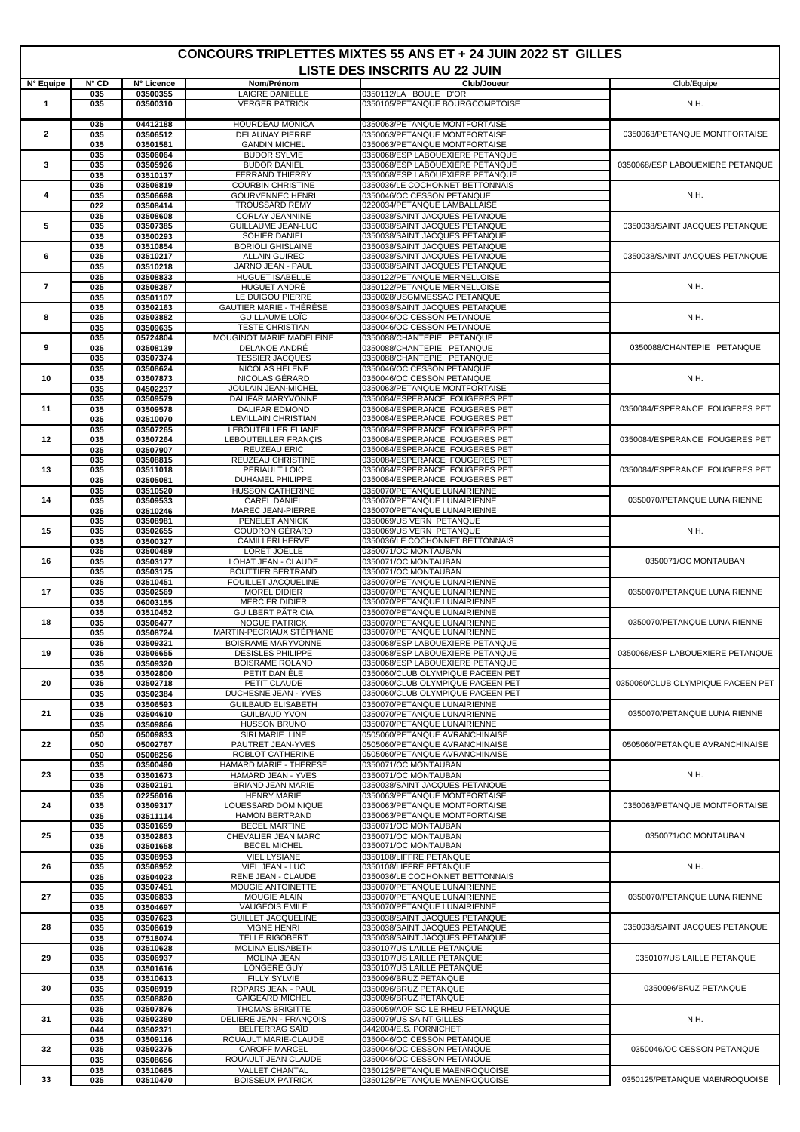## **CONCOURS TRIPLETTES MIXTES 55 ANS ET + 24 JUIN 2022 ST GILLES**

 $\mathsf{l}$ 

| LISTE DES INSCRITS AU 22 JUIN |               |                      |                                                       |                                                                        |                                   |  |  |  |
|-------------------------------|---------------|----------------------|-------------------------------------------------------|------------------------------------------------------------------------|-----------------------------------|--|--|--|
| N° Equipe                     | <b>N</b> ° CD | N° Licence           | Nom/Prénom                                            | Club/Joueur                                                            | Club/Equipe                       |  |  |  |
| $\mathbf{1}$                  | 035<br>035    | 03500355<br>03500310 | <b>LAIGRE DANIELLE</b><br><b>VERGER PATRICK</b>       | 0350112/LA BOULE D'OR<br>0350105/PETANQUE BOURGCOMPTOISE               | N.H.                              |  |  |  |
|                               | 035           | 04412188             | <b>HOURDEAU MONICA</b>                                | 0350063/PETANQUE MONTFORTAISE                                          |                                   |  |  |  |
| $\overline{2}$                | 035           | 03506512             | <b>DELAUNAY PIERRE</b>                                | 0350063/PETANQUE MONTFORTAISE                                          | 0350063/PETANQUE MONTFORTAISE     |  |  |  |
|                               | 035<br>035    | 03501581             | <b>GANDIN MICHEL</b><br><b>BUDOR SYLVIE</b>           | 0350063/PETANQUE MONTFORTAISE<br>0350068/ESP LABOUEXIERE PETANQUE      |                                   |  |  |  |
| 3                             | 035           | 03506064<br>03505926 | <b>BUDOR DANIEL</b>                                   | 0350068/ESP LABOUEXIERE PETANQUE                                       | 0350068/ESP LABOUEXIERE PETANQUE  |  |  |  |
|                               | 035           | 03510137             | <b>FERRAND THIERRY</b>                                | 0350068/ESP LABOUEXIERE PETANQUE                                       |                                   |  |  |  |
| 4                             | 035<br>035    | 03506819<br>03506698 | <b>COURBIN CHRISTINE</b><br><b>GOURVENNEC HENRI</b>   | 0350036/LE COCHONNET BETTONNAIS<br>0350046/OC CESSON PETANQUE          | N.H.                              |  |  |  |
|                               | 022           | 03508414             | <b>TROUSSARD REMY</b>                                 | 0220034/PETANQUE LAMBALLAISE                                           |                                   |  |  |  |
| 5                             | 035<br>035    | 03508608<br>03507385 | <b>CORLAY JEANNINE</b><br>GUILLAUME JEAN-LUC          | 0350038/SAINT JACQUES PETANQUE<br>0350038/SAINT JACQUES PETANQUE       | 0350038/SAINT JACQUES PETANQUE    |  |  |  |
|                               | 035           | 03500293             | SOHIER DANIEL                                         | 0350038/SAINT JACQUES PETANQUE                                         |                                   |  |  |  |
| 6                             | 035<br>035    | 03510854<br>03510217 | <b>BORIOLI GHISLAINE</b><br><b>ALLAIN GUIREC</b>      | 0350038/SAINT JACQUES PETANQUE<br>0350038/SAINT JACQUES PETANQUE       | 0350038/SAINT JACQUES PETANQUE    |  |  |  |
|                               | 035           | 03510218             | JARNO JEAN - PAUL                                     | 0350038/SAINT JACQUES PETANQUE                                         |                                   |  |  |  |
|                               | 035           | 03508833             | <b>HUGUET ISABELLE</b>                                | 0350122/PETANQUE MERNELLOISE                                           |                                   |  |  |  |
| $\overline{7}$                | 035<br>035    | 03508387<br>03501107 | HUGUET ANDRÉ<br>LE DUIGOU PIERRE                      | 0350122/PETANQUE MERNELLOISE<br>0350028/USGMMESSAC PETANQUE            | N.H.                              |  |  |  |
|                               | 035           | 03502163             | <b>GAUTIER MARIE - THÉRÉSE</b>                        | 0350038/SAINT JACQUES PETANQUE                                         |                                   |  |  |  |
| 8                             | 035<br>035    | 03503882<br>03509635 | <b>GUILLAUME LOIC</b><br><b>TESTE CHRISTIAN</b>       | 0350046/OC CESSON PETANQUE<br>0350046/OC CESSON PETANQUE               | N.H.                              |  |  |  |
|                               | 035           | 05724804             | MOUGINOT MARIE MADELEINE                              | 0350088/CHANTEPIE PETANQUE                                             |                                   |  |  |  |
| 9                             | 035<br>035    | 03508139<br>03507374 | DELANOE ANDRÉ<br><b>TESSIER JACQUES</b>               | 0350088/CHANTEPIE PETANQUE<br>0350088/CHANTEPIE PETANQUE               | 0350088/CHANTEPIE PETANQUE        |  |  |  |
|                               | 035           | 03508624             | NICOLAS HÉLÈNE                                        | 0350046/OC CESSON PETANQUE                                             |                                   |  |  |  |
| 10                            | 035<br>035    | 03507873<br>04502237 | NICOLAS GÉRARD<br><b>JOULAIN JEAN-MICHEL</b>          | 0350046/OC CESSON PETANQUE<br>0350063/PETANQUE MONTFORTAISE            | N.H.                              |  |  |  |
|                               | 035           | 03509579             | <b>DALIFAR MARYVONNE</b>                              | 0350084/ESPERANCE FOUGERES PET                                         |                                   |  |  |  |
| 11                            | 035<br>035    | 03509578<br>03510070 | <b>DALIFAR EDMOND</b><br><b>LEVILLAIN CHRISTIAN</b>   | 0350084/ESPERANCE FOUGERES PET<br>0350084/ESPERANCE FOUGERES PET       | 0350084/ESPERANCE FOUGERES PET    |  |  |  |
|                               | 035           | 03507265             | <b>LEBOUTEILLER ELIANE</b>                            | 0350084/ESPERANCE FOUGERES PET                                         |                                   |  |  |  |
| 12                            | 035           | 03507264             | LEBOUTEILLER FRANCIS                                  | 0350084/ESPERANCE FOUGERES PET                                         | 0350084/ESPERANCE FOUGERES PET    |  |  |  |
|                               | 035<br>035    | 03507907<br>03508815 | REUZEAU ERIC<br>REUZEAU CHRISTINE                     | 0350084/ESPERANCE FOUGERES PET<br>0350084/ESPERANCE FOUGERES PET       |                                   |  |  |  |
| 13                            | 035           | 03511018             | PERIAULT LOIC                                         | 0350084/ESPERANCE FOUGERES PET                                         | 0350084/ESPERANCE FOUGERES PET    |  |  |  |
|                               | 035<br>035    | 03505081<br>03510520 | DUHAMEL PHILIPPE<br><b>HUSSON CATHERINE</b>           | 0350084/ESPERANCE FOUGERES PET<br>0350070/PETANQUE LUNAIRIENNE         |                                   |  |  |  |
| 14                            | 035           | 03509533             | <b>CAREL DANIEL</b>                                   | 0350070/PETANQUE LUNAIRIENNE                                           | 0350070/PETANQUE LUNAIRIENNE      |  |  |  |
|                               | 035<br>035    | 03510246<br>03508981 | MAREC JEAN-PIERRE<br><b>PENELET ANNICK</b>            | 0350070/PETANQUE LUNAIRIENNE<br>0350069/US VERN PETANQUE               |                                   |  |  |  |
| 15                            | 035           | 03502655             | COUDRON GÉRARD                                        | 0350069/US VERN PETANQUE                                               | N.H.                              |  |  |  |
|                               | 035<br>035    | 03500327<br>03500489 | CAMILLERI HERVÉ<br>LORET JOELLE                       | 0350036/LE COCHONNET BETTONNAIS<br>0350071/OC MONTAUBAN                |                                   |  |  |  |
| 16                            | 035           | 03503177             | LOHAT JEAN - CLAUDE                                   | 0350071/OC MONTAUBAN                                                   | 0350071/OC MONTAUBAN              |  |  |  |
|                               | 035<br>035    | 03503175<br>03510451 | BOUTTIER BERTRAND<br><b>FOUILLET JACQUELINE</b>       | 0350071/OC MONTAUBAN<br>0350070/PETANQUE LUNAIRIENNE                   |                                   |  |  |  |
| 17                            | 035           | 03502569             | <b>MOREL DIDIER</b>                                   | 0350070/PETANQUE LUNAIRIENNE                                           | 0350070/PETANQUE LUNAIRIENNE      |  |  |  |
|                               | 035<br>035    | 06003155<br>03510452 | <b>MERCIER DIDIER</b><br><b>GUILBERT PATRICIA</b>     | 0350070/PETANQUE LUNAIRIENNE<br>0350070/PETANQUE LUNAIRIENNE           |                                   |  |  |  |
| 18                            | 035           | 03506477             | <b>NOGUE PATRICK</b>                                  | 0350070/PETANQUE LUNAIRIENNE                                           | 0350070/PETANQUE LUNAIRIENNE      |  |  |  |
|                               | 035<br>035    | 03508724<br>03509321 | MARTIN-PECRIAUX STEPHANE<br><b>BOISRAME MARYVONNE</b> | 0350070/PETANQUE LUNAIRIENNE<br>0350068/ESP LABOUEXIERE PETANQUE       |                                   |  |  |  |
| 19                            | 035           | 03506655             | <b>DESISLES PHILIPPE</b>                              | 0350068/ESP LABOUEXIERE PETANQUE                                       | 0350068/ESP LABOUEXIERE PETANQUE  |  |  |  |
|                               | 035           | 03509320             | <b>BOISRAME ROLAND</b>                                | 0350068/ESP LABOUEXIERE PETANQUE                                       |                                   |  |  |  |
| 20                            | 035<br>035    | 03502800<br>03502718 | PETIT DANIÈLE<br>PETIT CLAUDE                         | 0350060/CLUB OLYMPIQUE PACEEN PET<br>0350060/CLUB OLYMPIQUE PACEEN PET | 0350060/CLUB OLYMPIQUE PACEEN PET |  |  |  |
|                               | 035           | 03502384             | DUCHESNE JEAN - YVES                                  | 0350060/CLUB OLYMPIQUE PACEEN PET                                      |                                   |  |  |  |
| 21                            | 035<br>035    | 03506593<br>03504610 | <b>GUILBAUD ELISABETH</b><br><b>GUILBAUD YVON</b>     | 0350070/PETANQUE LUNAIRIENNE<br>0350070/PETANQUE LUNAIRIENNE           | 0350070/PETANQUE LUNAIRIENNE      |  |  |  |
|                               | 035           | 03509866             | <b>HUSSON BRUNO</b>                                   | 0350070/PETANQUE LUNAIRIENNE                                           |                                   |  |  |  |
| 22                            | 050<br>050    | 05009833<br>05002767 | SIRI MARIE LINE<br>PAUTRET JEAN-YVES                  | 0505060/PETANQUE AVRANCHINAISE<br>0505060/PETANQUE AVRANCHINAISE       | 0505060/PETANQUE AVRANCHINAISE    |  |  |  |
|                               | 050           | 05008256             | ROBLOT CATHERINE                                      | 0505060/PETANQUE AVRANCHINAISE                                         |                                   |  |  |  |
| 23                            | 035<br>035    | 03500490<br>03501673 | HAMARD MARIE - THERESE<br>HAMARD JEAN - YVES          | 0350071/OC MONTAUBAN<br>0350071/OC MONTAUBAN                           | N.H.                              |  |  |  |
|                               | 035           | 03502191             | BRIAND JEAN MARIE                                     | 0350038/SAINT JACQUES PETANQUE                                         |                                   |  |  |  |
| 24                            | 035<br>035    | 02256016<br>03509317 | <b>HENRY MARIE</b><br>LOUESSARD DOMINIQUE             | 0350063/PETANQUE MONTFORTAISE<br>0350063/PETANQUE MONTFORTAISE         | 0350063/PETANQUE MONTFORTAISE     |  |  |  |
|                               | 035           | 03511114             | <b>HAMON BERTRAND</b>                                 | 0350063/PETANQUE MONTFORTAISE                                          |                                   |  |  |  |
| 25                            | 035<br>035    | 03501659<br>03502863 | <b>BECEL MARTINE</b><br>CHEVALIER JEAN MARC           | 0350071/OC MONTAUBAN<br>0350071/OC MONTAUBAN                           | 0350071/OC MONTAUBAN              |  |  |  |
|                               | 035           | 03501658             | <b>BECEL MICHEL</b>                                   | 0350071/OC MONTAUBAN                                                   |                                   |  |  |  |
| 26                            | 035<br>035    | 03508953<br>03508952 | <b>VIEL LYSIANE</b><br>VIEL JEAN - LUC                | 0350108/LIFFRE PETANQUE<br>0350108/LIFFRE PETANQUE                     | N.H.                              |  |  |  |
|                               | 035           | 03504023             | RENE JEAN - CLAUDE                                    | 0350036/LE COCHONNET BETTONNAIS                                        |                                   |  |  |  |
| 27                            | 035<br>035    | 03507451<br>03506833 | MOUGIE ANTOINETTE<br><b>MOUGIE ALAIN</b>              | 0350070/PETANQUE LUNAIRIENNE<br>0350070/PETANQUE LUNAIRIENNE           | 0350070/PETANQUE LUNAIRIENNE      |  |  |  |
|                               | 035           | 03504697             | <b>VAUGEOIS EMILE</b>                                 | 0350070/PETANQUE LUNAIRIENNE                                           |                                   |  |  |  |
| 28                            | 035<br>035    | 03507623<br>03508619 | <b>GUILLET JACQUELINE</b><br><b>VIGNE HENRI</b>       | 0350038/SAINT JACQUES PETANQUE<br>0350038/SAINT JACQUES PETANQUE       | 0350038/SAINT JACQUES PETANQUE    |  |  |  |
|                               | 035           | 07518074             | <b>TELLE RIGOBERT</b>                                 | 0350038/SAINT JACQUES PETANQUE                                         |                                   |  |  |  |
| 29                            | 035<br>035    | 03510628<br>03506937 | MOLINA ELISABETH<br><b>MOLINA JEAN</b>                | 0350107/US LAILLE PETANQUE<br>0350107/US LAILLE PETANQUE               | 0350107/US LAILLE PETANQUE        |  |  |  |
|                               | 035           | 03501616             | LONGERE GUY                                           | 0350107/US LAILLE PETANQUE                                             |                                   |  |  |  |
| 30                            | 035<br>035    | 03510613<br>03508919 | FILLY SYLVIE<br>ROPARS JEAN - PAUL                    | 0350096/BRUZ PETANQUE<br>0350096/BRUZ PETANQUE                         | 0350096/BRUZ PETANQUE             |  |  |  |
|                               | 035           | 03508820             | <b>GAIGEARD MICHEL</b>                                | 0350096/BRUZ PETANQUE                                                  |                                   |  |  |  |
|                               | 035<br>035    | 03507876             | <b>THOMAS BRIGITTE</b>                                | 0350059/AOP SC LE RHEU PETANQUE                                        |                                   |  |  |  |
| 31                            | 044           | 03502380<br>03502371 | DELIERE JEAN - FRANÇOIS<br>BELFERRAG SAID             | 0350079/US SAINT GILLES<br>0442004/E.S. PORNICHET                      | N.H.                              |  |  |  |
|                               | 035           | 03509116             | ROUAULT MARIE-CLAUDE                                  | 0350046/OC CESSON PETANQUE                                             |                                   |  |  |  |
| 32                            | 035<br>035    | 03502375<br>03508656 | <b>CAROFF MARCEL</b><br>ROUAULT JEAN CLAUDE           | 0350046/OC CESSON PETANQUE<br>0350046/OC CESSON PETANQUE               | 0350046/OC CESSON PETANQUE        |  |  |  |
|                               | 035           | 03510665             | <b>VALLET CHANTAL</b>                                 | 0350125/PETANQUE MAENROQUOISE                                          |                                   |  |  |  |
| 33                            | 035           | 03510470             | <b>BOISSEUX PATRICK</b>                               | 0350125/PETANQUE MAENROQUOISE                                          | 0350125/PETANQUE MAENROQUOISE     |  |  |  |